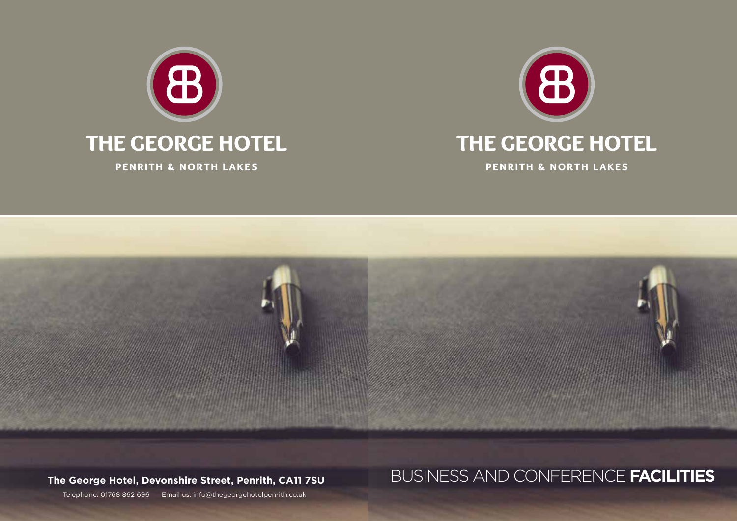





# **The George Hotel, Devonshire Street, Penrith, CA11 7SU** BUSINESS AND CONFERENCE **FACILITIES**

Telephone: 01768 862 696 Email us: info@thegeorgehotelpenrith.co.uk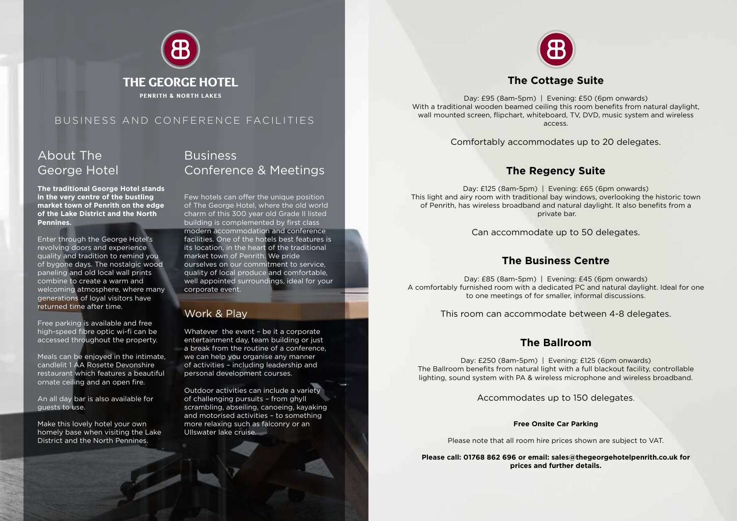

## About The George Hotel

**The traditional George Hotel stands in the very centre of the bustling market town of Penrith on the edge of the Lake District and the North Pennines.**

Enter through the George Hotel's revolving doors and experience quality and tradition to remind you of bygone days. The nostalgic wood paneling and old local wall prints combine to create a warm and welcoming atmosphere, where many generations of loyal visitors have returned time after time.

Free parking is available and free high-speed fibre optic wi-fi can be accessed throughout the property.

Meals can be enjoyed in the intimate, candlelit 1 AA Rosette Devonshire restaurant which features a beautiful ornate ceiling and an open fire.

An all day bar is also available for guests to use.

Make this lovely hotel your own homely base when visiting the Lake District and the North Pennines.

### **Business** Conference & Meetings

Few hotels can offer the unique position of The George Hotel, where the old world charm of this 300 year old Grade II listed building is complemented by first class modern accommodation and conference facilities. One of the hotels best features is its location, in the heart of the traditional market town of Penrith. We pride ourselves on our commitment to service, quality of local produce and comfortable, well appointed surroundings, ideal for your corporate event.

#### Work & Play

Whatever the event - be it a corporate entertainment day, team building or just a break from the routine of a conference, we can help you organise any manner of activities – including leadership and personal development courses.

Outdoor activities can include a variety of challenging pursuits – from ghyll scrambling, abseiling, canoeing, kayaking and motorised activities – to something more relaxing such as falconry or an Ullswater lake cruise.



#### **The Cottage Suite**

Day: £95 (8am-5pm) | Evening: £50 (6pm onwards) With a traditional wooden beamed ceiling this room benefits from natural daylight, wall mounted screen, flipchart, whiteboard, TV, DVD, music system and wireless access.

Comfortably accommodates up to 20 delegates.

#### **The Regency Suite**

Day: £125 (8am-5pm) | Evening: £65 (6pm onwards) This light and airy room with traditional bay windows, overlooking the historic town of Penrith, has wireless broadband and natural daylight. It also benefits from a private bar.

Can accommodate up to 50 delegates.

#### **The Business Centre**

Day: £85 (8am-5pm) | Evening: £45 (6pm onwards) A comfortably furnished room with a dedicated PC and natural daylight. Ideal for one to one meetings of for smaller, informal discussions.

This room can accommodate between 4-8 delegates.

#### **The Ballroom**

Day: £250 (8am-5pm) | Evening: £125 (6pm onwards) The Ballroom benefits from natural light with a full blackout facility, controllable lighting, sound system with PA & wireless microphone and wireless broadband.

Accommodates up to 150 delegates.

#### **Free Onsite Car Parking**

Please note that all room hire prices shown are subject to VAT.

**Please call: 01768 862 696 or email: sales@thegeorgehotelpenrith.co.uk for prices and further details.**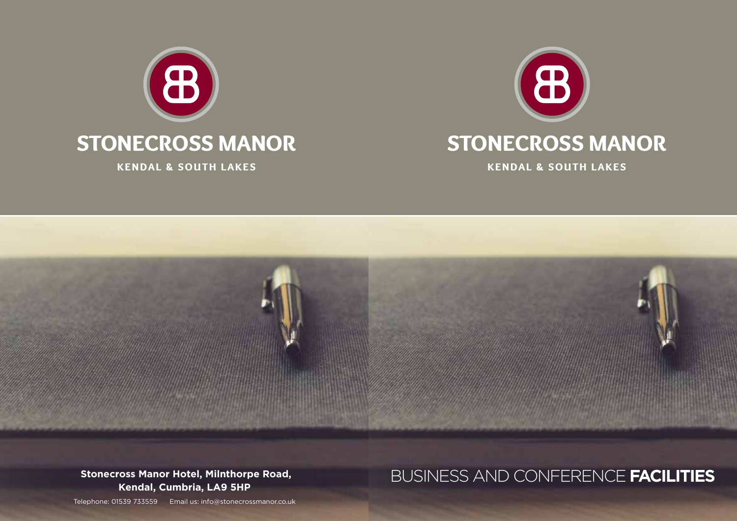





**Kendal, Cumbria, LA9 5HP**

# **Stonecross Manor Hotel, Milnthorpe Road,** BUSINESS AND CONFERENCE **FACILITIES**

Telephone: 01539 733559 Email us: info@stonecrossmanor.co.uk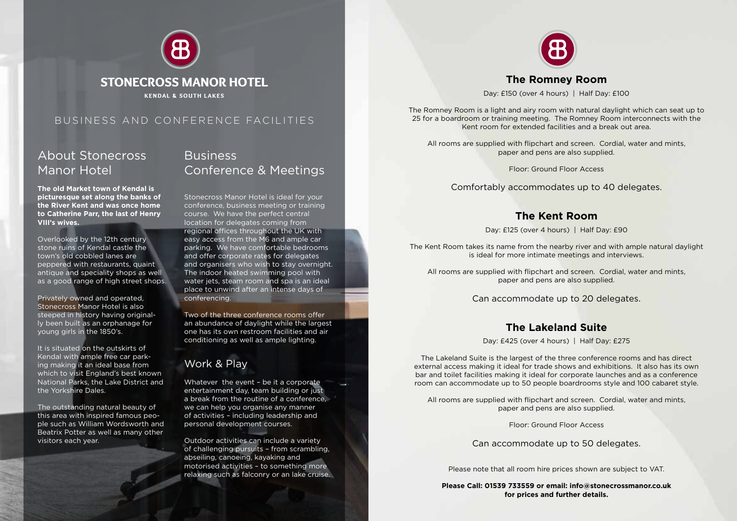

## About Stonecross Manor Hotel

**The old Market town of Kendal is picturesque set along the banks of the River Kent and was once home to Catherine Parr, the last of Henry VIII's wives.**

Overlooked by the 12th century stone ruins of Kendal castle the town's old cobbled lanes are peppered with restaurants, quaint antique and speciality shops as well as a good range of high street shops.

Privately owned and operated, Stonecross Manor Hotel is also steeped in history having originally been built as an orphanage for young girls in the 1850's.

It is situated on the outskirts of Kendal with ample free car parking making it an ideal base from which to visit England's best known National Parks, the Lake District and the Yorkshire Dales.

The outstanding natural beauty of this area with inspired famous people such as William Wordsworth and Beatrix Potter as well as many other visitors each year.

## **Business** Conference & Meetings

Stonecross Manor Hotel is ideal for your conference, business meeting or training course. We have the perfect central location for delegates coming from regional offices throughout the UK with easy access from the M6 and ample car parking. We have comfortable bedrooms and offer corporate rates for delegates and organisers who wish to stay overnight. The indoor heated swimming pool with water jets, steam room and spa is an ideal place to unwind after an intense days of conferencing.

Two of the three conference rooms offer an abundance of daylight while the largest one has its own restroom facilities and air conditioning as well as ample lighting.

## Work & Play

Whatever the event - be it a corporate entertainment day, team building or just a break from the routine of a conference, we can help you organise any manner of activities – including leadership and personal development courses.

Outdoor activities can include a variety of challenging pursuits – from scrambling, abseiling, canoeing, kayaking and motorised activities – to something more relaxing such as falconry or an lake cruise.



#### **The Romney Room**

Day: £150 (over 4 hours) | Half Day: £100

The Romney Room is a light and airy room with natural daylight which can seat up to 25 for a boardroom or training meeting. The Romney Room interconnects with the Kent room for extended facilities and a break out area.

All rooms are supplied with flipchart and screen. Cordial, water and mints, paper and pens are also supplied.

Floor: Ground Floor Access

Comfortably accommodates up to 40 delegates.

#### **The Kent Room**

Day: £125 (over 4 hours) | Half Day: £90

The Kent Room takes its name from the nearby river and with ample natural daylight is ideal for more intimate meetings and interviews.

All rooms are supplied with flipchart and screen. Cordial, water and mints, paper and pens are also supplied.

Can accommodate up to 20 delegates.

#### **The Lakeland Suite**

Day: £425 (over 4 hours) | Half Day: £275

The Lakeland Suite is the largest of the three conference rooms and has direct external access making it ideal for trade shows and exhibitions. It also has its own bar and toilet facilities making it ideal for corporate launches and as a conference room can accommodate up to 50 people boardrooms style and 100 cabaret style.

All rooms are supplied with flipchart and screen. Cordial, water and mints, paper and pens are also supplied.

Floor: Ground Floor Access

Can accommodate up to 50 delegates.

Please note that all room hire prices shown are subject to VAT.

**Please Call: 01539 733559 or email: info@stonecrossmanor.co.uk for prices and further details.**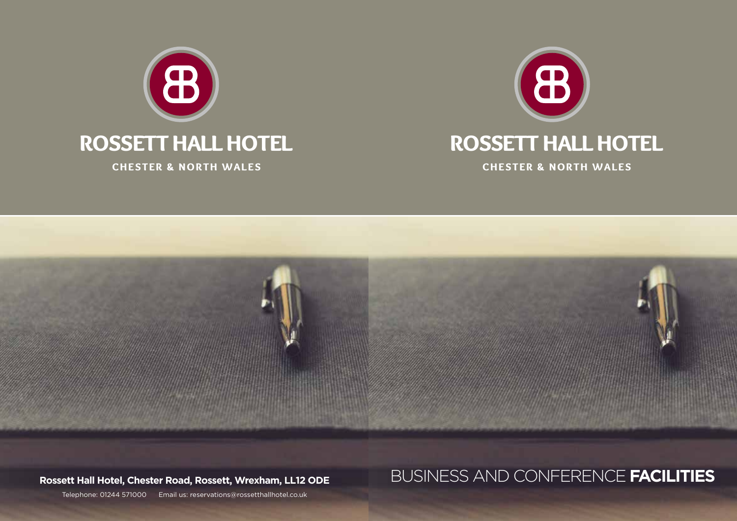





# **Rossett Hall Hotel, Chester Road, Rossett, Wrexham, LL12 ODE** BUSINESS AND CONFERENCE **FACILITIES**

Telephone: 01244 571000 Email us: reservations@rossetthallhotel.co.uk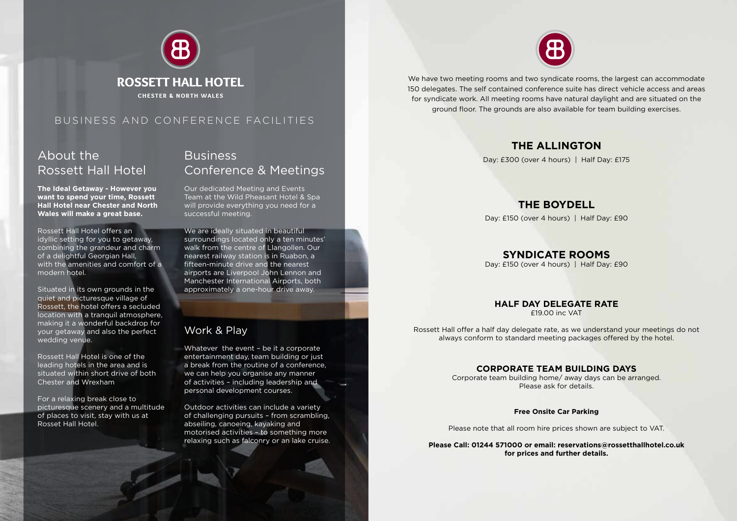

## About the Rossett Hall Hotel

**The Ideal Getaway - However you want to spend your time, Rossett Hall Hotel near Chester and North Wales will make a great base.**

Rossett Hall Hotel offers an idyllic setting for you to getaway, combining the grandeur and charm of a delightful Georgian Hall, with the amenities and comfort of a modern hotel.

Situated in its own grounds in the quiet and picturesque village of Rossett, the hotel offers a secluded location with a tranquil atmosphere, making it a wonderful backdrop for your getaway and also the perfect wedding venue.

Rossett Hall Hotel is one of the leading hotels in the area and is situated within short drive of both Chester and Wrexham

For a relaxing break close to picturesque scenery and a multitude of places to visit, stay with us at Rosset Hall Hotel.

## **Business** Conference & Meetings

Our dedicated Meeting and Events Team at the Wild Pheasant Hotel & Spa will provide everything you need for a successful meeting.

We are ideally situated in beautiful surroundings located only a ten minutes' walk from the centre of Llangollen. Our nearest railway station is in Ruabon, a fifteen-minute drive and the nearest airports are Liverpool John Lennon and Manchester International Airports, both approximately a one-hour drive away.

#### Work & Play

Whatever the event - be it a corporate entertainment day, team building or just a break from the routine of a conference, we can help you organise any manner of activities – including leadership and personal development courses.

Outdoor activities can include a variety of challenging pursuits – from scrambling, abseiling, canoeing, kayaking and motorised activities – to something more relaxing such as falconry or an lake cruise.



We have two meeting rooms and two syndicate rooms, the largest can accommodate 150 delegates. The self contained conference suite has direct vehicle access and areas for syndicate work. All meeting rooms have natural daylight and are situated on the ground floor. The grounds are also available for team building exercises.

#### **THE ALLINGTON**

Day: £300 (over 4 hours) | Half Day: £175

#### **THE BOYDELL**

Day: £150 (over 4 hours) | Half Day: £90

#### **SYNDICATE ROOMS**

Day: £150 (over 4 hours) | Half Day: £90

#### **HALF DAY DELEGATE RATE**

£19.00 inc VAT

Rossett Hall offer a half day delegate rate, as we understand your meetings do not always conform to standard meeting packages offered by the hotel.

#### **CORPORATE TEAM BUILDING DAYS**

Corporate team building home/ away days can be arranged. Please ask for details.

#### **Free Onsite Car Parking**

Please note that all room hire prices shown are subject to VAT.

#### **Please Call: 01244 571000 or email: reservations@rossetthallhotel.co.uk for prices and further details.**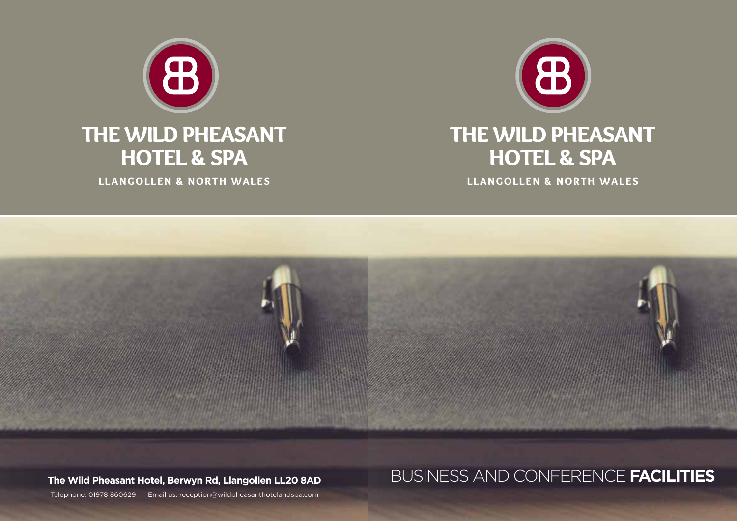

# THE WILD PHEASANT HOTEL & SPA

LLANGOLLEN & NORTH WALES



# **The Wild Pheasant Hotel, Berwyn Rd, Llangollen LL20 8AD** BUSINESS AND CONFERENCE **FACILITIES**

Telephone: 01978 860629 Email us: reception@wildpheasanthotelandspa.com